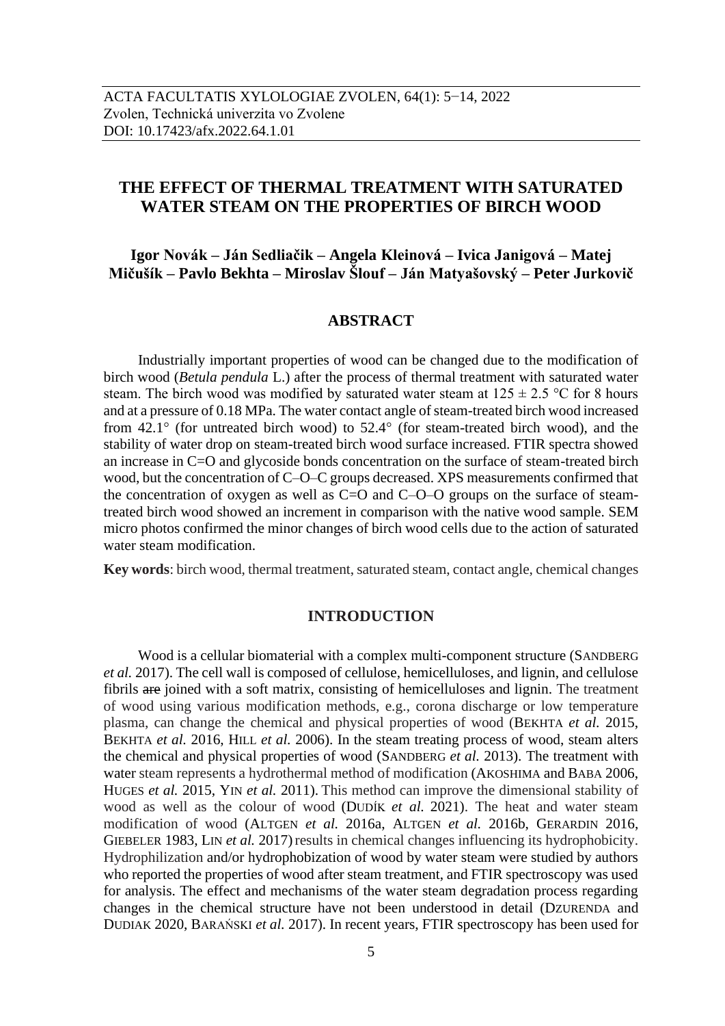# **THE EFFECT OF THERMAL TREATMENT WITH SATURATED WATER STEAM ON THE PROPERTIES OF BIRCH WOOD**

# **Igor Novák – Ján Sedliačik – Angela Kleinová – Ivica Janigová – Matej Mičušík – Pavlo Bekhta – Miroslav Šlouf – Ján Matyašovský – Peter Jurkovič**

## **ABSTRACT**

Industrially important properties of wood can be changed due to the modification of birch wood (*Betula pendula* L.) after the process of thermal treatment with saturated water steam. The birch wood was modified by saturated water steam at  $125 \pm 2.5$  °C for 8 hours and at a pressure of 0.18 MPa. The water contact angle of steam-treated birch wood increased from  $42.1^\circ$  (for untreated birch wood) to  $52.4^\circ$  (for steam-treated birch wood), and the stability of water drop on steam-treated birch wood surface increased. FTIR spectra showed an increase in C=O and glycoside bonds concentration on the surface of steam-treated birch wood, but the concentration of C–O–C groups decreased. XPS measurements confirmed that the concentration of oxygen as well as  $C=O$  and  $C-O-O$  groups on the surface of steamtreated birch wood showed an increment in comparison with the native wood sample. SEM micro photos confirmed the minor changes of birch wood cells due to the action of saturated water steam modification.

**Key words**: birch wood, thermal treatment, saturated steam, contact angle, chemical changes

### **INTRODUCTION**

Wood is a cellular biomaterial with a complex multi-component structure (SANDBERG *et al.* 2017). The cell wall is composed of cellulose, hemicelluloses, and lignin, and cellulose fibrils are joined with a soft matrix, consisting of hemicelluloses and lignin. The treatment of wood using various modification methods, e.g., corona discharge or low temperature plasma, can change the chemical and physical properties of wood (BEKHTA *et al.* 2015, BEKHTA *et al.* 2016, HILL *et al.* 2006). In the steam treating process of wood, steam alters the chemical and physical properties of wood (SANDBERG *et al.* 2013). The treatment with water steam represents a hydrothermal method of modification (AKOSHIMA and BABA 2006, HUGES *et al.* 2015, YIN *et al.* 2011). This method can improve the dimensional stability of wood as well as the colour of wood (DUDÍK *et al.* 2021). The heat and water steam modification of wood (ALTGEN *et al.* 2016a, ALTGEN *et al.* 2016b, GERARDIN 2016, GIEBELER 1983, LIN *et al.* 2017) results in chemical changes influencing its hydrophobicity. Hydrophilization and/or hydrophobization of wood by water steam were studied by authors who reported the properties of wood after steam treatment, and FTIR spectroscopy was used for analysis. The effect and mechanisms of the water steam degradation process regarding changes in the chemical structure have not been understood in detail (DZURENDA and DUDIAK 2020, BARAŃSKI *et al.* 2017). In recent years, FTIR spectroscopy has been used for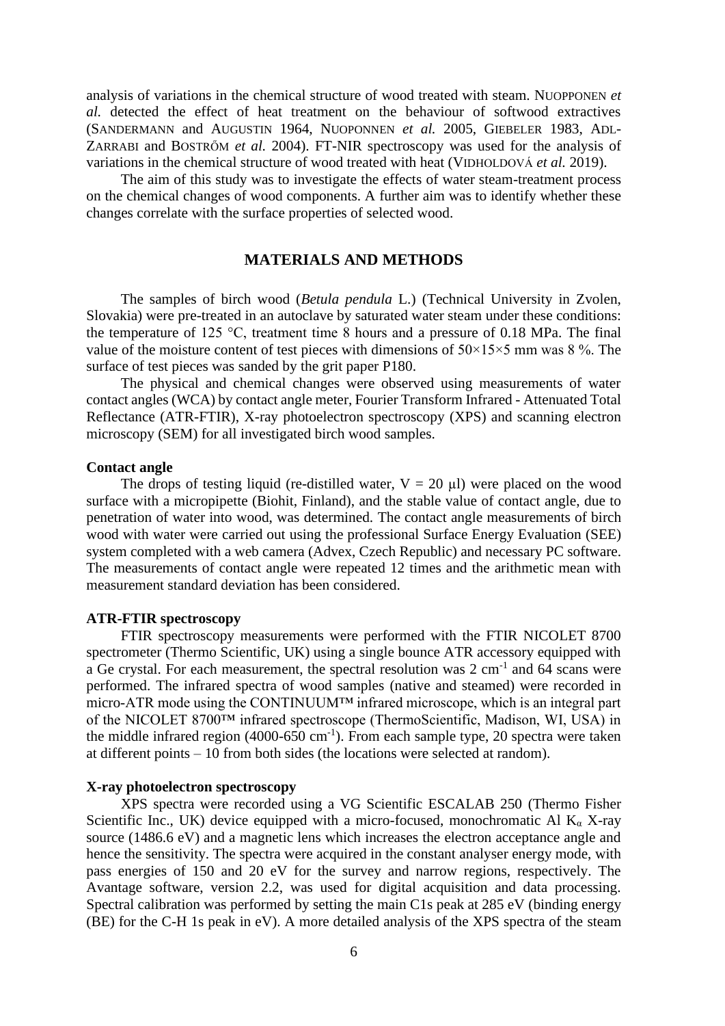analysis of variations in the chemical structure of wood treated with steam. NUOPPONEN *et al.* detected the effect of heat treatment on the behaviour of softwood extractives (SANDERMANN and AUGUSTIN 1964, NUOPONNEN *et al.* 2005, GIEBELER 1983, ADL-ZARRABI and BOSTRŐM *et al.* 2004). FT-NIR spectroscopy was used for the analysis of variations in the chemical structure of wood treated with heat (VIDHOLDOVÁ *et al.* 2019).

The aim of this study was to investigate the effects of water steam-treatment process on the chemical changes of wood components. A further aim was to identify whether these changes correlate with the surface properties of selected wood.

## **MATERIALS AND METHODS**

The samples of birch wood (*Betula pendula* L.) (Technical University in Zvolen, Slovakia) were pre-treated in an autoclave by saturated water steam under these conditions: the temperature of 125 °C, treatment time 8 hours and a pressure of 0.18 MPa. The final value of the moisture content of test pieces with dimensions of  $50\times15\times5$  mm was 8%. The surface of test pieces was sanded by the grit paper P180.

The physical and chemical changes were observed using measurements of water contact angles (WCA) by contact angle meter, Fourier Transform Infrared - Attenuated Total Reflectance (ATR-FTIR), X-ray photoelectron spectroscopy (XPS) and scanning electron microscopy (SEM) for all investigated birch wood samples.

#### **Contact angle**

The drops of testing liquid (re-distilled water,  $V = 20 \mu l$ ) were placed on the wood surface with a micropipette (Biohit, Finland), and the stable value of contact angle, due to penetration of water into wood, was determined. The contact angle measurements of birch wood with water were carried out using the professional Surface Energy Evaluation (SEE) system completed with a web camera (Advex, Czech Republic) and necessary PC software. The measurements of contact angle were repeated 12 times and the arithmetic mean with measurement standard deviation has been considered.

### **ATR-FTIR spectroscopy**

FTIR spectroscopy measurements were performed with the FTIR NICOLET 8700 spectrometer (Thermo Scientific, UK) using a single bounce ATR accessory equipped with a Ge crystal. For each measurement, the spectral resolution was  $2 \text{ cm}^{-1}$  and 64 scans were performed. The infrared spectra of wood samples (native and steamed) were recorded in micro-ATR mode using the CONTINUUM™ infrared microscope, which is an integral part of the NICOLET 8700™ infrared spectroscope (ThermoScientific, Madison, WI, USA) in the middle infrared region  $(4000-650 \text{ cm}^{-1})$ . From each sample type, 20 spectra were taken at different points – 10 from both sides (the locations were selected at random).

### **X-ray photoelectron spectroscopy**

XPS spectra were recorded using a VG Scientific ESCALAB 250 (Thermo Fisher Scientific Inc., UK) device equipped with a micro-focused, monochromatic Al  $K_{\alpha}$  X-ray source (1486.6 eV) and a magnetic lens which increases the electron acceptance angle and hence the sensitivity. The spectra were acquired in the constant analyser energy mode, with pass energies of 150 and 20 eV for the survey and narrow regions, respectively. The Avantage software, version 2.2, was used for digital acquisition and data processing. Spectral calibration was performed by setting the main C1s peak at 285 eV (binding energy (BE) for the C-H 1s peak in eV). A more detailed analysis of the XPS spectra of the steam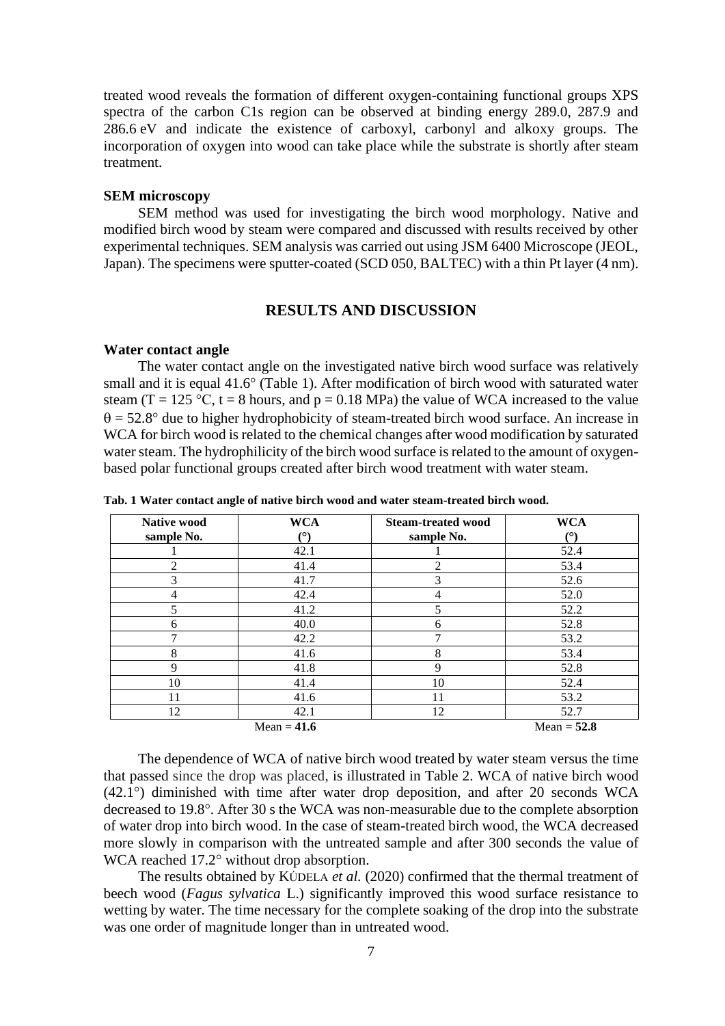treated wood reveals the formation of different oxygen-containing functional groups XPS spectra of the carbon C1s region can be observed at binding energy 289.0, 287.9 and 286.6 eV and indicate the existence of carboxyl, carbonyl and alkoxy groups. The incorporation of oxygen into wood can take place while the substrate is shortly after steam treatment.

#### **SEM microscopy**

SEM method was used for investigating the birch wood morphology. Native and modified birch wood by steam were compared and discussed with results received by other experimental techniques. SEM analysis was carried out using JSM 6400 Microscope (JEOL, Japan). The specimens were sputter-coated (SCD 050, BALTEC) with a thin Pt layer (4 nm).

### **RESULTS AND DISCUSSION**

#### **Water contact angle**

The water contact angle on the investigated native birch wood surface was relatively small and it is equal 41.6° (Table 1). After modification of birch wood with saturated water steam (T = 125 °C, t = 8 hours, and p = 0.18 MPa) the value of WCA increased to the value  $\theta$  = 52.8° due to higher hydrophobicity of steam-treated birch wood surface. An increase in WCA for birch wood is related to the chemical changes after wood modification by saturated water steam. The hydrophilicity of the birch wood surface is related to the amount of oxygenbased polar functional groups created after birch wood treatment with water steam.

| <b>Native wood</b> | <b>WCA</b>    | <b>WCA</b><br><b>Steam-treated wood</b> |               |
|--------------------|---------------|-----------------------------------------|---------------|
| sample No.         | (°)           | sample No.                              | (٥)           |
|                    | 42.1          |                                         | 52.4          |
| 2                  | 41.4          | $\overline{c}$                          | 53.4          |
| 3                  | 41.7          | 3                                       | 52.6          |
| 4                  | 42.4          | 4                                       | 52.0          |
|                    | 41.2          | 5                                       | 52.2          |
| 6                  | 40.0          | 6                                       | 52.8          |
| 7                  | 42.2          | 7                                       | 53.2          |
| 8                  | 41.6          | 8                                       | 53.4          |
| 9                  | 41.8          | 9                                       | 52.8          |
| 10                 | 41.4          | 10                                      | 52.4          |
| 11                 | 41.6          | 11                                      | 53.2          |
| 12                 | 42.1          | 12                                      | 52.7          |
|                    | Mean = $41.6$ |                                         | Mean = $52.8$ |

**Tab. 1 Water contact angle of native birch wood and water steam-treated birch wood.**

The dependence of WCA of native birch wood treated by water steam versus the time that passed since the drop was placed, is illustrated in Table 2. WCA of native birch wood (42.1°) diminished with time after water drop deposition, and after 20 seconds WCA decreased to 19.8°. After 30 s the WCA was non-measurable due to the complete absorption of water drop into birch wood. In the case of steam-treated birch wood, the WCA decreased more slowly in comparison with the untreated sample and after 300 seconds the value of WCA reached 17.2° without drop absorption.

The results obtained by KÚDELA *et al.* (2020) confirmed that the thermal treatment of beech wood (*Fagus sylvatica* L.) significantly improved this wood surface resistance to wetting by water. The time necessary for the complete soaking of the drop into the substrate was one order of magnitude longer than in untreated wood.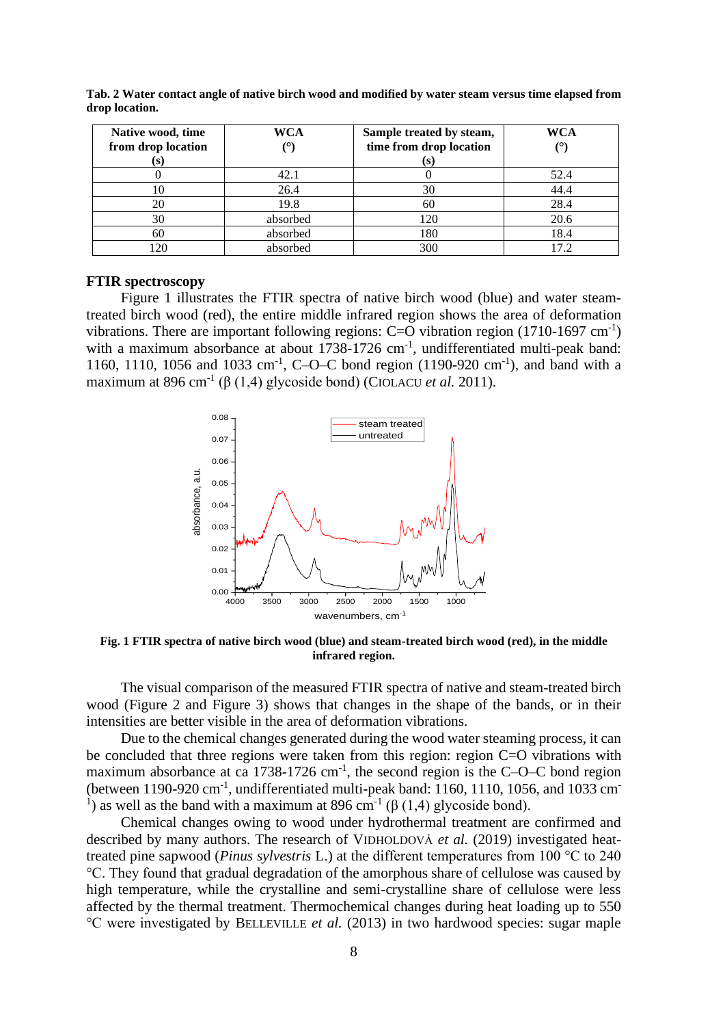| Native wood, time  | WCA        | Sample treated by steam, | WCA  |
|--------------------|------------|--------------------------|------|
| from drop location | $(^\circ)$ | time from drop location  |      |
| (S)                |            | (S)                      |      |
|                    | 42.1       |                          | 52.4 |
| 10                 | 26.4       | 30                       | 44.4 |
| 20                 | 19.8       | 60                       | 28.4 |
| 30                 | absorbed   | 120                      | 20.6 |
| 60                 | absorbed   | 180                      | 18.4 |
| 120                | absorbed   | 300                      | 17.2 |

**Tab. 2 Water contact angle of native birch wood and modified by water steam versus time elapsed from drop location.**

### **FTIR spectroscopy**

Figure 1 illustrates the FTIR spectra of native birch wood (blue) and water steamtreated birch wood (red), the entire middle infrared region shows the area of deformation vibrations. There are important following regions:  $C=O$  vibration region (1710-1697 cm<sup>-1</sup>) with a maximum absorbance at about 1738-1726 cm<sup>-1</sup>, undifferentiated multi-peak band: 1160, 1110, 1056 and 1033 cm<sup>-1</sup>, C-O-C bond region (1190-920 cm<sup>-1</sup>), and band with a maximum at 896 cm<sup>-1</sup> ( $\beta$  (1,4) glycoside bond) (CIOLACU *et al.* 2011).



**Fig. 1 FTIR spectra of native birch wood (blue) and steam-treated birch wood (red), in the middle infrared region.**

The visual comparison of the measured FTIR spectra of native and steam-treated birch wood (Figure 2 and Figure 3) shows that changes in the shape of the bands, or in their intensities are better visible in the area of deformation vibrations.

Due to the chemical changes generated during the wood water steaming process, it can be concluded that three regions were taken from this region: region C=O vibrations with maximum absorbance at ca 1738-1726 cm<sup>-1</sup>, the second region is the C-O-C bond region (between  $1190-920$  cm<sup>-1</sup>, undifferentiated multi-peak band: 1160, 1110, 1056, and 1033 cm<sup>-</sup> <sup>1</sup>) as well as the band with a maximum at 896 cm<sup>-1</sup> (β (1,4) glycoside bond).

Chemical changes owing to wood under hydrothermal treatment are confirmed and described by many authors. The research of VIDHOLDOVÁ *et al.* (2019) investigated heattreated pine sapwood (*Pinus sylvestris* L.) at the different temperatures from 100 °C to 240 °C. They found that gradual degradation of the amorphous share of cellulose was caused by high temperature, while the crystalline and semi-crystalline share of cellulose were less affected by the thermal treatment. Thermochemical changes during heat loading up to 550 °C were investigated by BELLEVILLE *et al.* (2013) in two hardwood species: sugar maple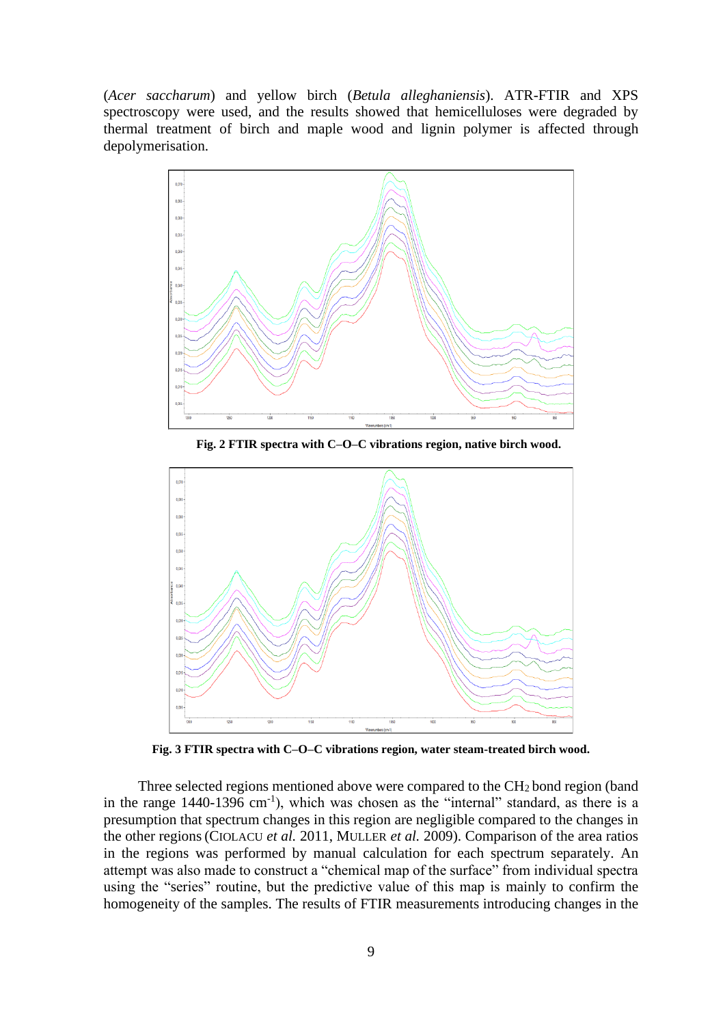(*Acer saccharum*) and yellow birch (*Betula alleghaniensis*). ATR-FTIR and XPS spectroscopy were used, and the results showed that hemicelluloses were degraded by thermal treatment of birch and maple wood and lignin polymer is affected through depolymerisation.



 **Fig. 2 FTIR spectra with C–O–C vibrations region, native birch wood.**



**Fig. 3 FTIR spectra with C–O–C vibrations region, water steam-treated birch wood.**

Three selected regions mentioned above were compared to the  $CH<sub>2</sub>$  bond region (band in the range  $1440-1396$  cm<sup>-1</sup>), which was chosen as the "internal" standard, as there is a presumption that spectrum changes in this region are negligible compared to the changes in the other regions(CIOLACU *et al.* 2011, MULLER *et al.* 2009). Comparison of the area ratios in the regions was performed by manual calculation for each spectrum separately. An attempt was also made to construct a "chemical map of the surface" from individual spectra using the "series" routine, but the predictive value of this map is mainly to confirm the homogeneity of the samples. The results of FTIR measurements introducing changes in the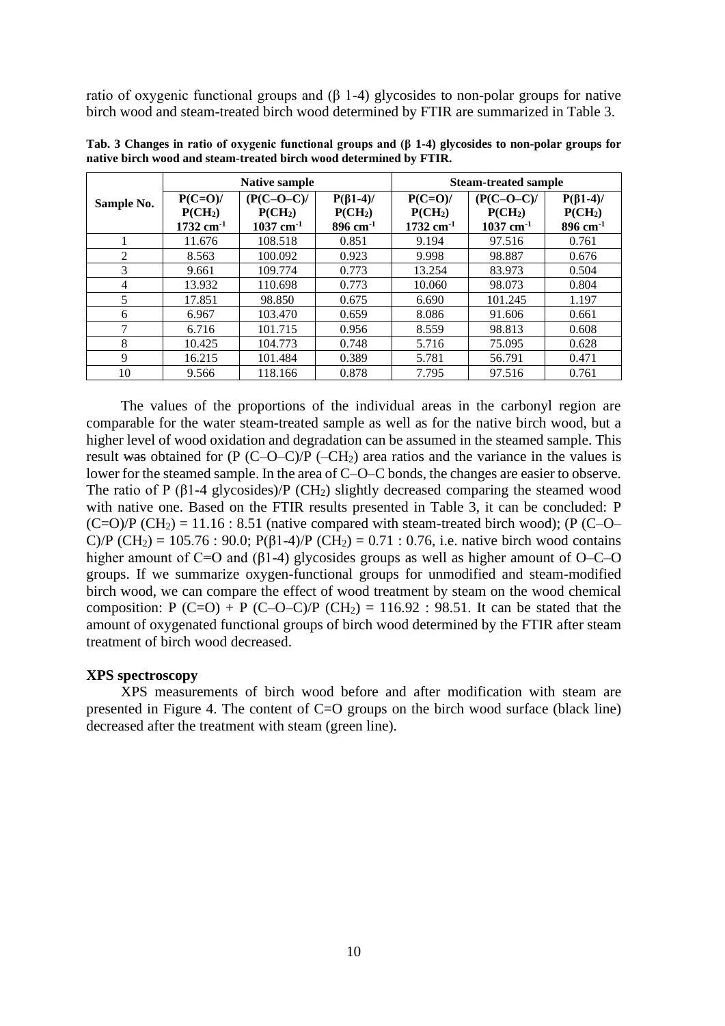ratio of oxygenic functional groups and (β 1-4) glycosides to non-polar groups for native birch wood and steam-treated birch wood determined by FTIR are summarized in Table 3.

|                | <b>Native sample</b>    |                         |                        | <b>Steam-treated sample</b> |                         |                        |
|----------------|-------------------------|-------------------------|------------------------|-----------------------------|-------------------------|------------------------|
| Sample No.     | $P(C=O)$ /              | $(P(C-O-C))$            | $P(\beta1-4)$          | $P(C=O)$ /                  | $(P(C-O-C))$            | $P(\beta1-4)$          |
|                | P(CH <sub>2</sub> )     | P(CH <sub>2</sub> )     | P(CH <sub>2</sub> )    | P(CH <sub>2</sub> )         | P(CH <sub>2</sub> )     | P(CH <sub>2</sub> )    |
|                | $1732$ cm <sup>-1</sup> | $1037$ cm <sup>-1</sup> | $896$ cm <sup>-1</sup> | $1732$ cm <sup>-1</sup>     | $1037$ cm <sup>-1</sup> | $896$ cm <sup>-1</sup> |
|                | 11.676                  | 108.518                 | 0.851                  | 9.194                       | 97.516                  | 0.761                  |
| $\mathfrak{D}$ | 8.563                   | 100.092                 | 0.923                  | 9.998                       | 98.887                  | 0.676                  |
| 3              | 9.661                   | 109.774                 | 0.773                  | 13.254                      | 83.973                  | 0.504                  |
| 4              | 13.932                  | 110.698                 | 0.773                  | 10.060                      | 98.073                  | 0.804                  |
| 5              | 17.851                  | 98.850                  | 0.675                  | 6.690                       | 101.245                 | 1.197                  |
| 6              | 6.967                   | 103.470                 | 0.659                  | 8.086                       | 91.606                  | 0.661                  |
| 7              | 6.716                   | 101.715                 | 0.956                  | 8.559                       | 98.813                  | 0.608                  |
| 8              | 10.425                  | 104.773                 | 0.748                  | 5.716                       | 75.095                  | 0.628                  |
| 9              | 16.215                  | 101.484                 | 0.389                  | 5.781                       | 56.791                  | 0.471                  |
| 10             | 9.566                   | 118.166                 | 0.878                  | 7.795                       | 97.516                  | 0.761                  |

**Tab. 3 Changes in ratio of oxygenic functional groups and (β 1-4) glycosides to non-polar groups for native birch wood and steam-treated birch wood determined by FTIR.**

The values of the proportions of the individual areas in the carbonyl region are comparable for the water steam-treated sample as well as for the native birch wood, but a higher level of wood oxidation and degradation can be assumed in the steamed sample. This result was obtained for  $(P (C-O-C)/P (-CH_2))$  area ratios and the variance in the values is lower for the steamed sample. In the area of C–O–C bonds, the changes are easier to observe. The ratio of P ( $\beta$ 1-4 glycosides)/P (CH<sub>2</sub>) slightly decreased comparing the steamed wood with native one. Based on the FTIR results presented in Table 3, it can be concluded: P  $(C=O)/P$   $(CH<sub>2</sub>) = 11.16 : 8.51$  (native compared with steam-treated birch wood); (P  $(C-O-$ C)/P (CH<sub>2</sub>) = 105.76 : 90.0; P( $\beta$ 1-4)/P (CH<sub>2</sub>) = 0.71 : 0.76, i.e. native birch wood contains higher amount of C=O and ( $\beta$ 1-4) glycosides groups as well as higher amount of O–C–O groups. If we summarize oxygen-functional groups for unmodified and steam-modified birch wood, we can compare the effect of wood treatment by steam on the wood chemical composition: P (C=O) + P (C–O–C)/P (CH<sub>2</sub>) = 116.92 : 98.51. It can be stated that the amount of oxygenated functional groups of birch wood determined by the FTIR after steam treatment of birch wood decreased.

### **XPS spectroscopy**

XPS measurements of birch wood before and after modification with steam are presented in Figure 4. The content of C=O groups on the birch wood surface (black line) decreased after the treatment with steam (green line).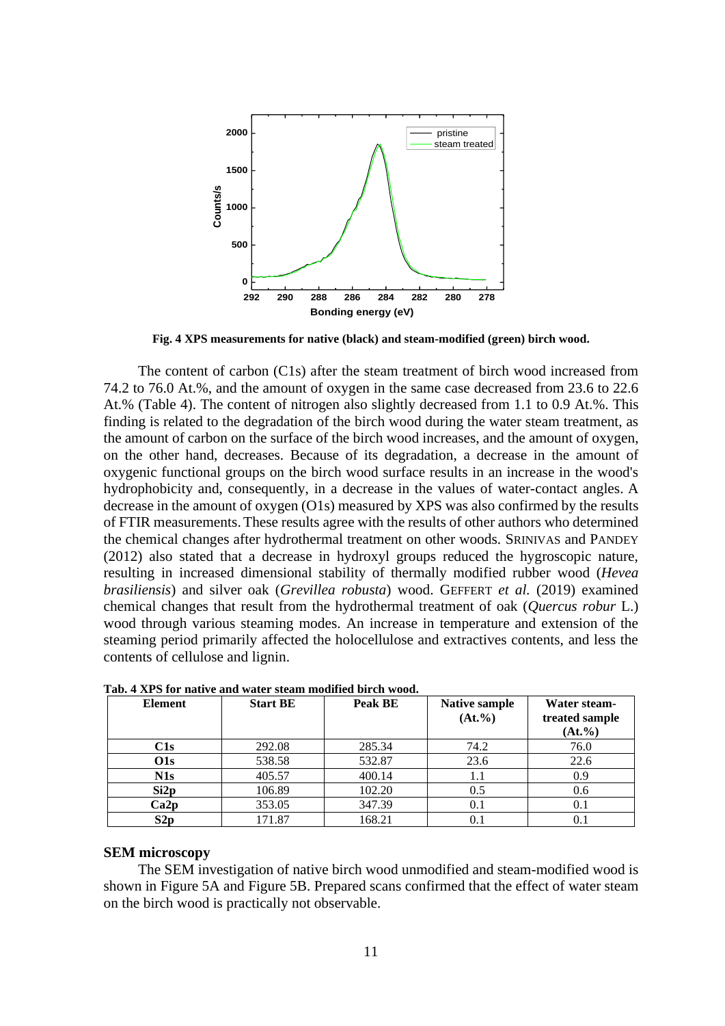

**Fig. 4 XPS measurements for native (black) and steam-modified (green) birch wood.**

The content of carbon (C1s) after the steam treatment of birch wood increased from 74.2 to 76.0 At.%, and the amount of oxygen in the same case decreased from 23.6 to 22.6 At.% (Table 4). The content of nitrogen also slightly decreased from 1.1 to 0.9 At.%. This finding is related to the degradation of the birch wood during the water steam treatment, as the amount of carbon on the surface of the birch wood increases, and the amount of oxygen, on the other hand, decreases. Because of its degradation, a decrease in the amount of oxygenic functional groups on the birch wood surface results in an increase in the wood's hydrophobicity and, consequently, in a decrease in the values of water-contact angles. A decrease in the amount of oxygen (O1s) measured by XPS was also confirmed by the results of FTIR measurements.These results agree with the results of other authors who determined the chemical changes after hydrothermal treatment on other woods. SRINIVAS and PANDEY (2012) also stated that a decrease in hydroxyl groups reduced the hygroscopic nature, resulting in increased dimensional stability of thermally modified rubber wood (*Hevea brasiliensis*) and silver oak (*Grevillea robusta*) wood. GEFFERT *et al.* (2019) examined chemical changes that result from the hydrothermal treatment of oak (*Quercus robur* L.) wood through various steaming modes. An increase in temperature and extension of the steaming period primarily affected the holocellulose and extractives contents, and less the contents of cellulose and lignin.

| <b>Element</b> | <b>Start BE</b> | Peak BE | <b>Native sample</b><br>$(At. \%)$ | Water steam-<br>treated sample<br>$(At. \%)$ |
|----------------|-----------------|---------|------------------------------------|----------------------------------------------|
| C1s            | 292.08          | 285.34  | 74.2                               | 76.0                                         |
| O1s            | 538.58          | 532.87  | 23.6                               | 22.6                                         |
| N1s            | 405.57          | 400.14  | 1.1                                | 0.9                                          |
| Si2p           | 106.89          | 102.20  | 0.5                                | 0.6                                          |
| Ca2p           | 353.05          | 347.39  | 0.1                                | 0.1                                          |
| S2p            | 171.87          | 168.21  | 0.1                                | 0.1                                          |

**Tab. 4 XPS for native and water steam modified birch wood.**

#### **SEM microscopy**

The SEM investigation of native birch wood unmodified and steam-modified wood is shown in Figure 5A and Figure 5B. Prepared scans confirmed that the effect of water steam on the birch wood is practically not observable.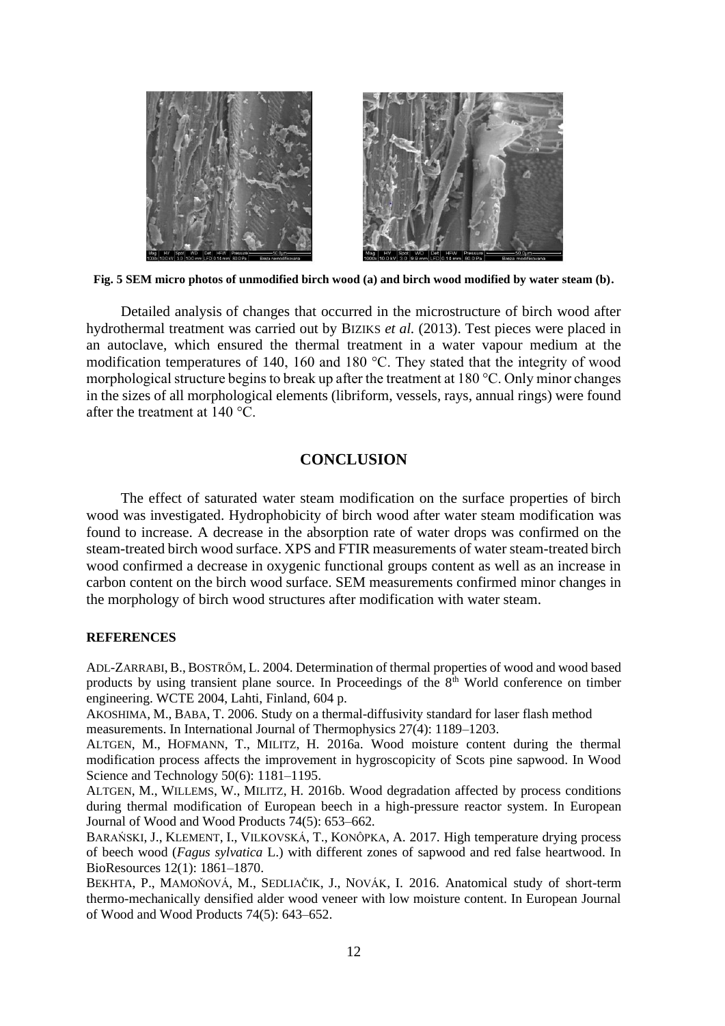

**Fig. 5 SEM micro photos of unmodified birch wood (a) and birch wood modified by water steam (b).**

Detailed analysis of changes that occurred in the microstructure of birch wood after hydrothermal treatment was carried out by BIZIKS *et al.* (2013). Test pieces were placed in an autoclave, which ensured the thermal treatment in a water vapour medium at the modification temperatures of 140, 160 and 180 °C. They stated that the integrity of wood morphological structure begins to break up after the treatment at 180 °C. Only minor changes in the sizes of all morphological elements (libriform, vessels, rays, annual rings) were found after the treatment at 140 °C.

## **CONCLUSION**

The effect of saturated water steam modification on the surface properties of birch wood was investigated. Hydrophobicity of birch wood after water steam modification was found to increase. A decrease in the absorption rate of water drops was confirmed on the steam-treated birch wood surface. XPS and FTIR measurements of water steam-treated birch wood confirmed a decrease in oxygenic functional groups content as well as an increase in carbon content on the birch wood surface. SEM measurements confirmed minor changes in the morphology of birch wood structures after modification with water steam.

### **REFERENCES**

ADL-ZARRABI, B., BOSTRŐM, L. 2004. Determination of thermal properties of wood and wood based products by using transient plane source. In Proceedings of the  $8<sup>th</sup>$  World conference on timber engineering. WCTE 2004, Lahti, Finland, 604 p.

AKOSHIMA, M., BABA, T. 2006. Study on a thermal-diffusivity standard for laser flash method measurements. In International Journal of Thermophysics 27(4): 1189–1203.

ALTGEN, M., HOFMANN, T., MILITZ, H. 2016a. Wood moisture content during the thermal modification process affects the improvement in hygroscopicity of Scots pine sapwood. In Wood Science and Technology 50(6): 1181–1195.

ALTGEN, M., WILLEMS, W., MILITZ, H. 2016b. Wood degradation affected by process conditions during thermal modification of European beech in a high-pressure reactor system. In European Journal of Wood and Wood Products 74(5): 653–662.

BARAŃSKI, J., KLEMENT, I., VILKOVSKÁ, T., KONÔPKA, A. 2017. High temperature drying process of beech wood (*Fagus sylvatica* L.) with different zones of sapwood and red false heartwood. In BioResources 12(1): 1861–1870.

BEKHTA, P., MAMOŇOVÁ, M., SEDLIAČIK, J., NOVÁK, I. 2016. Anatomical study of short-term thermo-mechanically densified alder wood veneer with low moisture content. In European Journal of Wood and Wood Products 74(5): 643–652.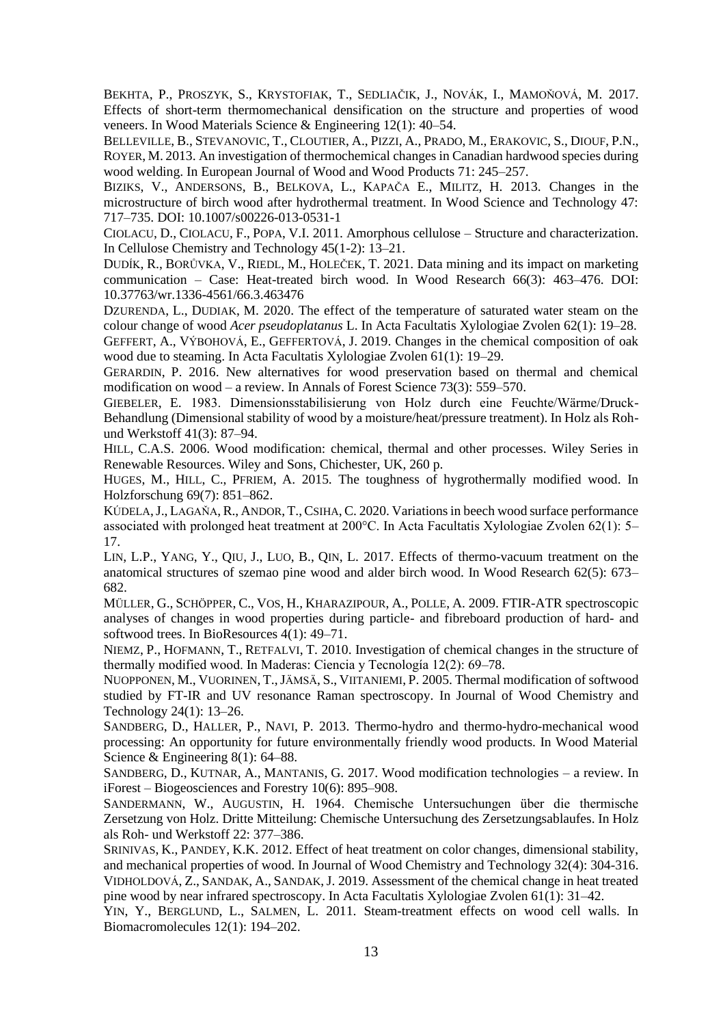BEKHTA, P., PROSZYK, S., KRYSTOFIAK, T., SEDLIAČIK, J., NOVÁK, I., MAMOŇOVÁ, M. 2017. Effects of short-term thermomechanical densification on the structure and properties of wood veneers. In Wood Materials Science & Engineering 12(1): 40–54.

BELLEVILLE, B., STEVANOVIC, T., CLOUTIER, A., PIZZI, A., PRADO, M., ERAKOVIC, S., DIOUF, P.N., ROYER, M. 2013. An investigation of thermochemical changes in Canadian hardwood species during wood welding. In European Journal of Wood and Wood Products 71: 245–257.

BIZIKS, V., ANDERSONS, B., BELKOVA, L., KAPAČA E., MILITZ, H. 2013. Changes in the microstructure of birch wood after hydrothermal treatment. In Wood Science and Technology 47: 717–735. DOI: 10.1007/s00226-013-0531-1

CIOLACU, D., CIOLACU, F., POPA, V.I. 2011. Amorphous cellulose – Structure and characterization. In Cellulose Chemistry and Technology 45(1-2): 13–21.

DUDÍK, R., BORŮVKA, V., RIEDL, M., HOLEČEK, T. 2021. Data mining and its impact on marketing communication – Case: Heat-treated birch wood. In Wood Research 66(3): 463–476. DOI: 10.37763/wr.1336-4561/66.3.463476

DZURENDA, L., DUDIAK, M. 2020. The effect of the temperature of saturated water steam on the colour change of wood *Acer pseudoplatanus* L. In Acta Facultatis Xylologiae Zvolen 62(1): 19–28. GEFFERT, A., VÝBOHOVÁ, E., GEFFERTOVÁ, J. 2019. Changes in the chemical composition of oak wood due to steaming. In Acta Facultatis Xylologiae Zvolen 61(1): 19–29.

GERARDIN, P. 2016. New alternatives for wood preservation based on thermal and chemical modification on wood – a review. In Annals of Forest Science 73(3): 559–570.

GIEBELER, E. 1983. Dimensionsstabilisierung von Holz durch eine Feuchte/Wärme/Druck-Behandlung (Dimensional stability of wood by a moisture/heat/pressure treatment). In Holz als Rohund Werkstoff 41(3): 87–94.

HILL, C.A.S. 2006. Wood modification: chemical, thermal and other processes. Wiley Series in Renewable Resources. Wiley and Sons, Chichester, UK, 260 p.

HUGES, M., HILL, C., PFRIEM, A. 2015. The toughness of hygrothermally modified wood. In Holzforschung 69(7): 851–862.

KÚDELA,J., LAGAŇA,R., ANDOR, T.,CSIHA,C. 2020. Variations in beech wood surface performance associated with prolonged heat treatment at 200°C. In Acta Facultatis Xylologiae Zvolen 62(1): 5– 17.

LIN, L.P., YANG, Y., QIU, J., LUO, B., QIN, L. 2017. Effects of thermo-vacuum treatment on the anatomical structures of szemao pine wood and alder birch wood. In Wood Research 62(5): 673– 682.

MÜLLER, G., SCHÖPPER, C., VOS, H., KHARAZIPOUR, A., POLLE, A. 2009. FTIR-ATR spectroscopic analyses of changes in wood properties during particle- and fibreboard production of hard- and softwood trees. In BioResources 4(1): 49–71.

NIEMZ, P., HOFMANN, T., RETFALVI, T. 2010. Investigation of chemical changes in the structure of thermally modified wood. In Maderas: Ciencia y Tecnología 12(2): 69–78.

NUOPPONEN, M., VUORINEN, T.,JÄMSÄ, S., VIITANIEMI, P. 2005. Thermal modification of softwood studied by FT-IR and UV resonance Raman spectroscopy. In Journal of Wood Chemistry and Technology 24(1): 13–26.

SANDBERG, D., HALLER, P., NAVI, P. 2013. Thermo-hydro and thermo-hydro-mechanical wood processing: An opportunity for future environmentally friendly wood products. In Wood Material Science & Engineering 8(1): 64–88.

SANDBERG, D., KUTNAR, A., MANTANIS, G. 2017. Wood modification technologies – a review. In iForest – Biogeosciences and Forestry 10(6): 895–908.

SANDERMANN, W., AUGUSTIN, H. 1964. Chemische Untersuchungen über die thermische Zersetzung von Holz. Dritte Mitteilung: Chemische Untersuchung des Zersetzungsablaufes. In Holz als Roh- und Werkstoff 22: 377–386.

SRINIVAS, K., PANDEY, K.K. 2012. Effect of heat treatment on color changes, dimensional stability, and mechanical properties of wood. In Journal of Wood Chemistry and Technology 32(4): 304-316. VIDHOLDOVÁ, Z., SANDAK, A., SANDAK,J. 2019. Assessment of the chemical change in heat treated pine wood by near infrared spectroscopy. In Acta Facultatis Xylologiae Zvolen 61(1): 31–42.

YIN, Y., BERGLUND, L., SALMEN, L. 2011. Steam-treatment effects on wood cell walls. In Biomacromolecules 12(1): 194–202.